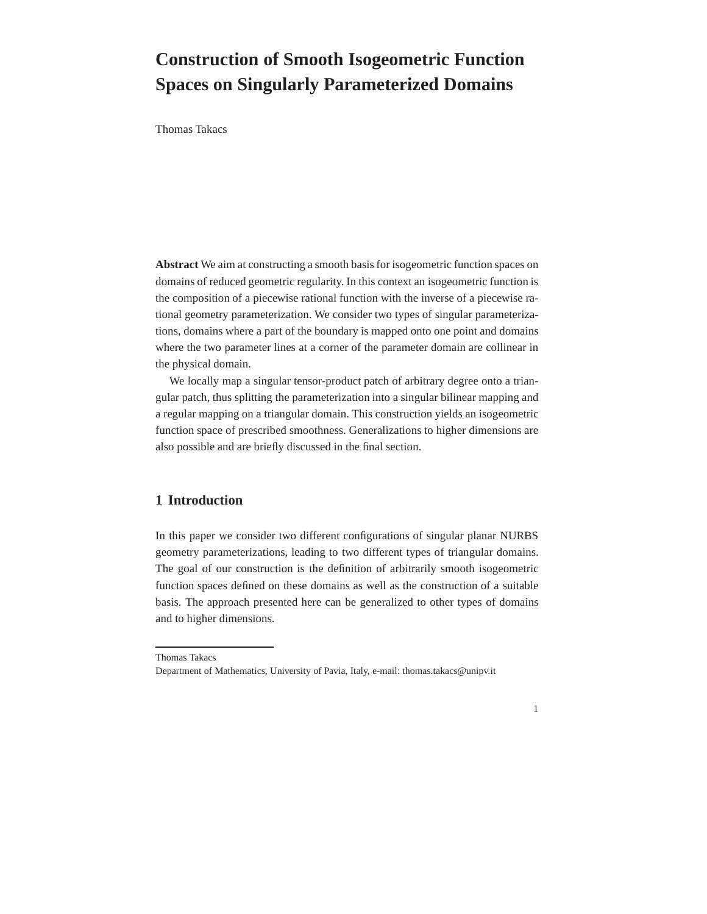# **Construction of Smooth Isogeometric Function Spaces on Singularly Parameterized Domains**

Thomas Takacs

**Abstract** We aim at constructing a smooth basis for isogeometric function spaces on domains of reduced geometric regularity. In this context an isogeometric function is the composition of a piecewise rational function with the inverse of a piecewise rational geometry parameterization. We consider two types of singular parameterizations, domains where a part of the boundary is mapped onto one point and domains where the two parameter lines at a corner of the parameter domain are collinear in the physical domain.

We locally map a singular tensor-product patch of arbitrary degree onto a triangular patch, thus splitting the parameterization into a singular bilinear mapping and a regular mapping on a triangular domain. This construction yields an isogeometric function space of prescribed smoothness. Generalizations to higher dimensions are also possible and are briefly discussed in the final section.

## **1 Introduction**

In this paper we consider two different configurations of singular planar NURBS geometry parameterizations, leading to two different types of triangular domains. The goal of our construction is the definition of arbitrarily smooth isogeometric function spaces defined on these domains as well as the construction of a suitable basis. The approach presented here can be generalized to other types of domains and to higher dimensions.

1

Thomas Takacs

Department of Mathematics, University of Pavia, Italy, e-mail: thomas.takacs@unipv.it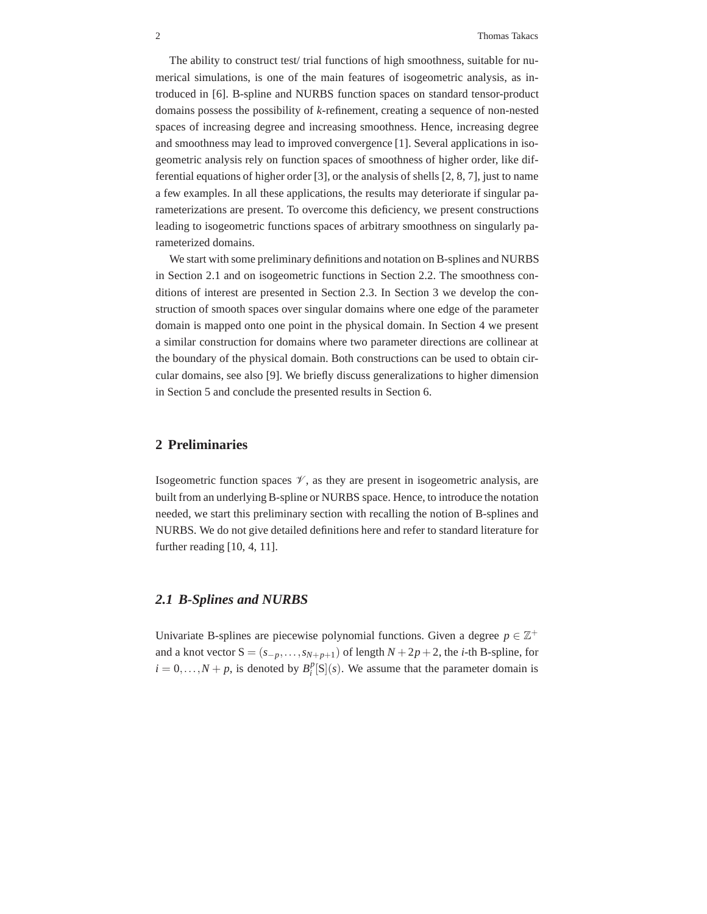The ability to construct test/ trial functions of high smoothness, suitable for numerical simulations, is one of the main features of isogeometric analysis, as introduced in [6]. B-spline and NURBS function spaces on standard tensor-product domains possess the possibility of *k*-refinement, creating a sequence of non-nested spaces of increasing degree and increasing smoothness. Hence, increasing degree and smoothness may lead to improved convergence [1]. Several applications in isogeometric analysis rely on function spaces of smoothness of higher order, like differential equations of higher order [3], or the analysis of shells [2, 8, 7], just to name a few examples. In all these applications, the results may deteriorate if singular parameterizations are present. To overcome this deficiency, we present constructions leading to isogeometric functions spaces of arbitrary smoothness on singularly parameterized domains.

We start with some preliminary definitions and notation on B-splines and NURBS in Section 2.1 and on isogeometric functions in Section 2.2. The smoothness conditions of interest are presented in Section 2.3. In Section 3 we develop the construction of smooth spaces over singular domains where one edge of the parameter domain is mapped onto one point in the physical domain. In Section 4 we present a similar construction for domains where two parameter directions are collinear at the boundary of the physical domain. Both constructions can be used to obtain circular domains, see also [9]. We briefly discuss generalizations to higher dimension in Section 5 and conclude the presented results in Section 6.

## **2 Preliminaries**

Isogeometric function spaces  $\mathcal V$ , as they are present in isogeometric analysis, are built from an underlying B-spline or NURBS space. Hence, to introduce the notation needed, we start this preliminary section with recalling the notion of B-splines and NURBS. We do not give detailed definitions here and refer to standard literature for further reading [10, 4, 11].

## *2.1 B-Splines and NURBS*

Univariate B-splines are piecewise polynomial functions. Given a degree  $p \in \mathbb{Z}^+$ and a knot vector  $S = (s_{-p}, \ldots, s_{N+p+1})$  of length  $N + 2p + 2$ , the *i*-th B-spline, for  $i = 0, \ldots, N + p$ , is denoted by  $B_i^p[S](s)$ . We assume that the parameter domain is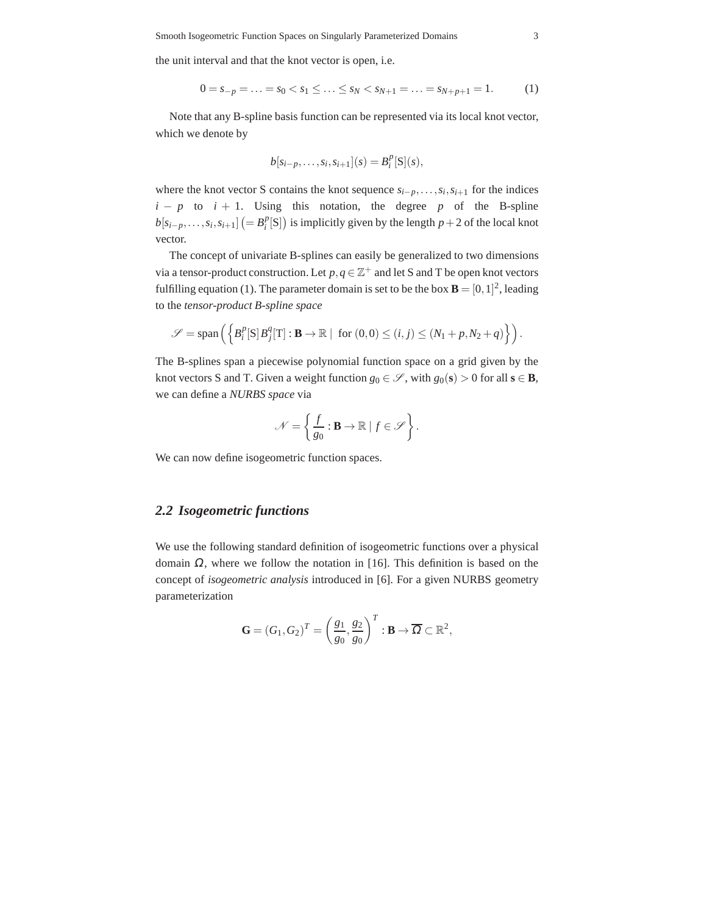the unit interval and that the knot vector is open, i.e.

$$
0 = s_{-p} = \ldots = s_0 < s_1 \leq \ldots \leq s_N < s_{N+1} = \ldots = s_{N+p+1} = 1. \tag{1}
$$

Note that any B-spline basis function can be represented via its local knot vector, which we denote by

$$
b[s_{i-p},...,s_i,s_{i+1}](s) = B_i^p[S](s),
$$

where the knot vector S contains the knot sequence  $s_{i-p}, \ldots, s_i, s_{i+1}$  for the indices  $i - p$  to  $i + 1$ . Using this notation, the degree *p* of the B-spline  $b[s_{i-p},...,s_i,s_{i+1}]$   $(= B_i^p[S])$  is implicitly given by the length *p* + 2 of the local knot vector.

The concept of univariate B-splines can easily be generalized to two dimensions via a tensor-product construction. Let  $p, q \in \mathbb{Z}^+$  and let S and T be open knot vectors fulfilling equation (1). The parameter domain is set to be the box  $\mathbf{B} = [0, 1]^2$ , leading to the *tensor-product B-spline space*

$$
\mathscr{S} = \text{span}\left( \left\{ B_i^p[\mathbf{S}] B_j^q[\mathbf{T}] : \mathbf{B} \to \mathbb{R} \mid \text{ for } (0,0) \leq (i,j) \leq (N_1 + p, N_2 + q) \right\} \right).
$$

The B-splines span a piecewise polynomial function space on a grid given by the knot vectors S and T. Given a weight function  $g_0 \in \mathcal{S}$ , with  $g_0(\mathbf{s}) > 0$  for all  $\mathbf{s} \in \mathbf{B}$ , we can define a *NURBS space* via

$$
\mathcal{N} = \left\{ \frac{f}{g_0} : \mathbf{B} \to \mathbb{R} \mid f \in \mathcal{S} \right\}.
$$

We can now define isogeometric function spaces.

## *2.2 Isogeometric functions*

We use the following standard definition of isogeometric functions over a physical domain <sup>Ω</sup>, where we follow the notation in [16]. This definition is based on the concept of *isogeometric analysis* introduced in [6]. For a given NURBS geometry parameterization

$$
\mathbf{G}=(G_1,G_2)^T=\left(\frac{g_1}{g_0},\frac{g_2}{g_0}\right)^T:\mathbf{B}\to\overline{\Omega}\subset\mathbb{R}^2,
$$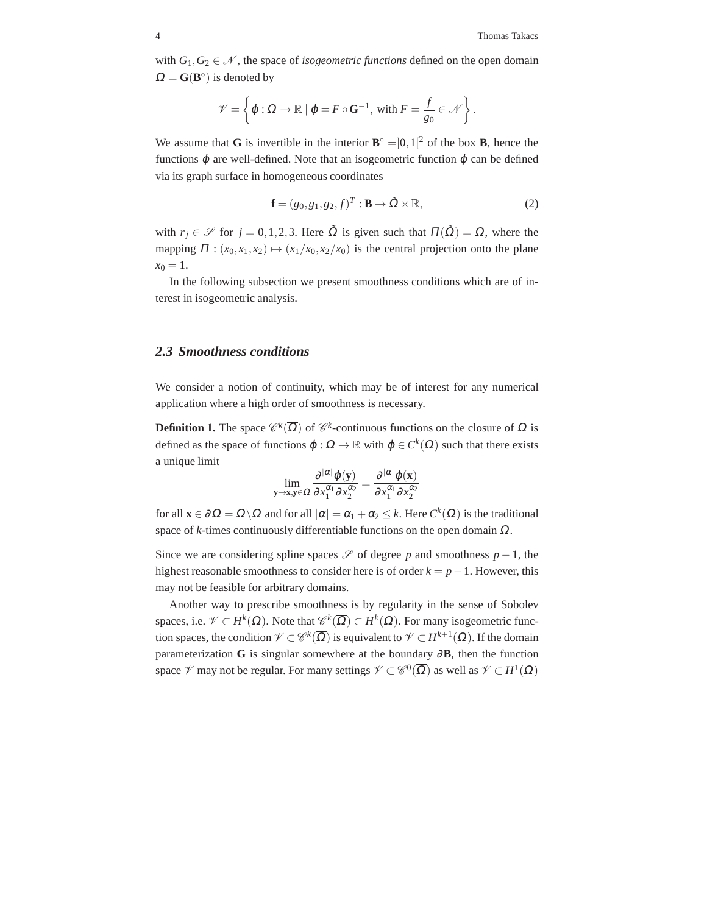with  $G_1, G_2 \in \mathcal{N}$ , the space of *isogeometric functions* defined on the open domain  $\Omega = G(B^{\circ})$  is denoted by

$$
\mathscr{V} = \left\{ \varphi : \Omega \to \mathbb{R} \mid \varphi = F \circ \mathbf{G}^{-1}, \text{ with } F = \frac{f}{g_0} \in \mathscr{N} \right\}.
$$

We assume that **G** is invertible in the interior  $\mathbf{B}^{\circ} = ]0,1[^2$  of the box **B**, hence the functions  $\varphi$  are well-defined. Note that an isogeometric function  $\varphi$  can be defined via its graph surface in homogeneous coordinates

$$
\mathbf{f} = (g_0, g_1, g_2, f)^T : \mathbf{B} \to \tilde{\Omega} \times \mathbb{R},
$$
 (2)

with  $r_j \in \mathscr{S}$  for  $j = 0, 1, 2, 3$ . Here  $\tilde{\Omega}$  is given such that  $\Pi(\tilde{\Omega}) = \Omega$ , where the mapping  $\Pi : (x_0, x_1, x_2) \mapsto (x_1/x_0, x_2/x_0)$  is the central projection onto the plane  $x_0 = 1$ .

In the following subsection we present smoothness conditions which are of interest in isogeometric analysis.

## *2.3 Smoothness conditions*

We consider a notion of continuity, which may be of interest for any numerical application where a high order of smoothness is necessary.

**Definition 1.** The space  $\mathscr{C}^k(\overline{\Omega})$  of  $\mathscr{C}^k$ -continuous functions on the closure of  $\Omega$  is defined as the space of functions  $\varphi : \Omega \to \mathbb{R}$  with  $\varphi \in C^k(\Omega)$  such that there exists a unique limit

$$
\lim_{\mathbf{y}\to\mathbf{x},\mathbf{y}\in\Omega}\frac{\partial^{|\alpha|}\varphi(\mathbf{y})}{\partial x_1^{\alpha_1}\partial x_2^{\alpha_2}}=\frac{\partial^{|\alpha|}\varphi(\mathbf{x})}{\partial x_1^{\alpha_1}\partial x_2^{\alpha_2}}
$$

for all  $\mathbf{x} \in \partial \Omega = \overline{\Omega} \setminus \Omega$  and for all  $|\alpha| = \alpha_1 + \alpha_2 \le k$ . Here  $C^k(\Omega)$  is the traditional space of *k*-times continuously differentiable functions on the open domain  $\Omega$ .

Since we are considering spline spaces  $\mathscr S$  of degree *p* and smoothness  $p-1$ , the highest reasonable smoothness to consider here is of order *k* = *p*−1. However, this may not be feasible for arbitrary domains.

Another way to prescribe smoothness is by regularity in the sense of Sobolev spaces, i.e.  $\mathscr{V} \subset H^k(\Omega)$ . Note that  $\mathscr{C}^k(\overline{\Omega}) \subset H^k(\Omega)$ . For many isogeometric function spaces, the condition  $\mathcal{V} \subset \mathcal{C}^k(\overline{\Omega})$  is equivalent to  $\mathcal{V} \subset H^{k+1}(\Omega)$ . If the domain parameterization **G** is singular somewhere at the boundary  $\partial$ **B**, then the function space  $\mathscr V$  may not be regular. For many settings  $\mathscr V \subset \mathscr C^0(\overline{\Omega})$  as well as  $\mathscr V \subset H^1(\Omega)$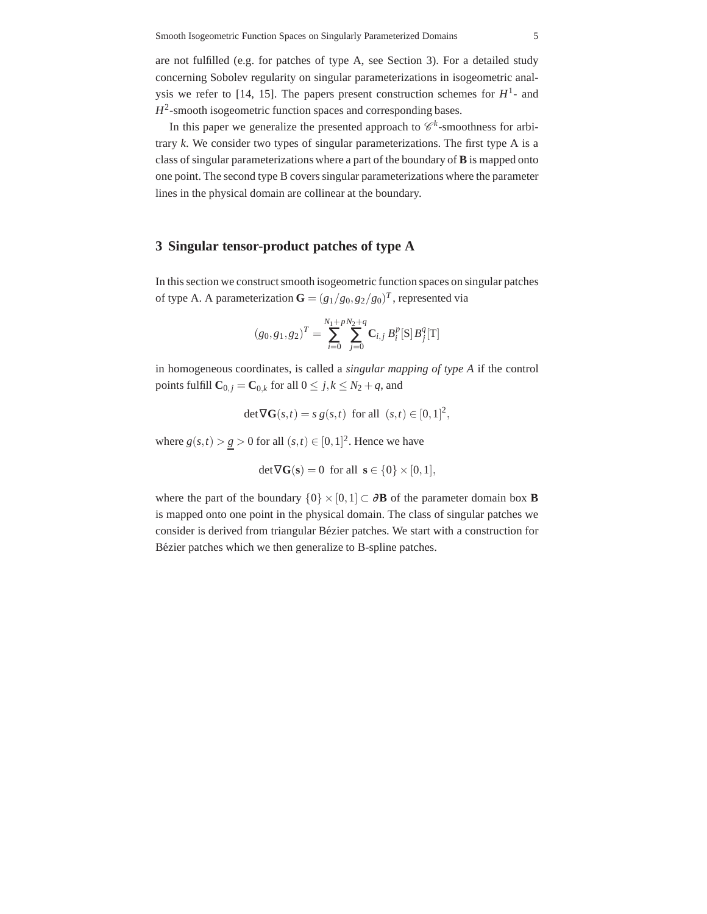are not fulfilled (e.g. for patches of type A, see Section 3). For a detailed study concerning Sobolev regularity on singular parameterizations in isogeometric analysis we refer to [14, 15]. The papers present construction schemes for  $H^1$ - and  $H^2$ -smooth isogeometric function spaces and corresponding bases.

In this paper we generalize the presented approach to  $\mathscr{C}^k$ -smoothness for arbitrary *k*. We consider two types of singular parameterizations. The first type A is a class of singular parameterizations where a part of the boundary of **B** is mapped onto one point. The second type B covers singular parameterizations where the parameter lines in the physical domain are collinear at the boundary.

## **3 Singular tensor-product patches of type A**

In this section we construct smooth isogeometric function spaces on singular patches of type A. A parameterization  $\mathbf{G} = (g_1/g_0, g_2/g_0)^T$ , represented via

$$
(g_0, g_1, g_2)^T = \sum_{i=0}^{N_1 + pN_2 + q} \mathbf{C}_{i,j} B_i^p[\mathbf{S}] B_j^q[\mathbf{T}]
$$

in homogeneous coordinates, is called a *singular mapping of type A* if the control points fulfill  $\mathbf{C}_{0,j} = \mathbf{C}_{0,k}$  for all  $0 \leq j, k \leq N_2 + q$ , and

$$
\det \nabla \mathbf{G}(s,t) = s \, g(s,t) \text{ for all } (s,t) \in [0,1]^2,
$$

where  $g(s,t) > g > 0$  for all  $(s,t) \in [0,1]^2$ . Hence we have

$$
\det \nabla \mathbf{G}(\mathbf{s}) = 0 \text{ for all } \mathbf{s} \in \{0\} \times [0,1],
$$

where the part of the boundary  $\{0\} \times [0,1] \subset \partial \mathbf{B}$  of the parameter domain box **B** is mapped onto one point in the physical domain. The class of singular patches we consider is derived from triangular Bézier patches. We start with a construction for Bézier patches which we then generalize to B-spline patches.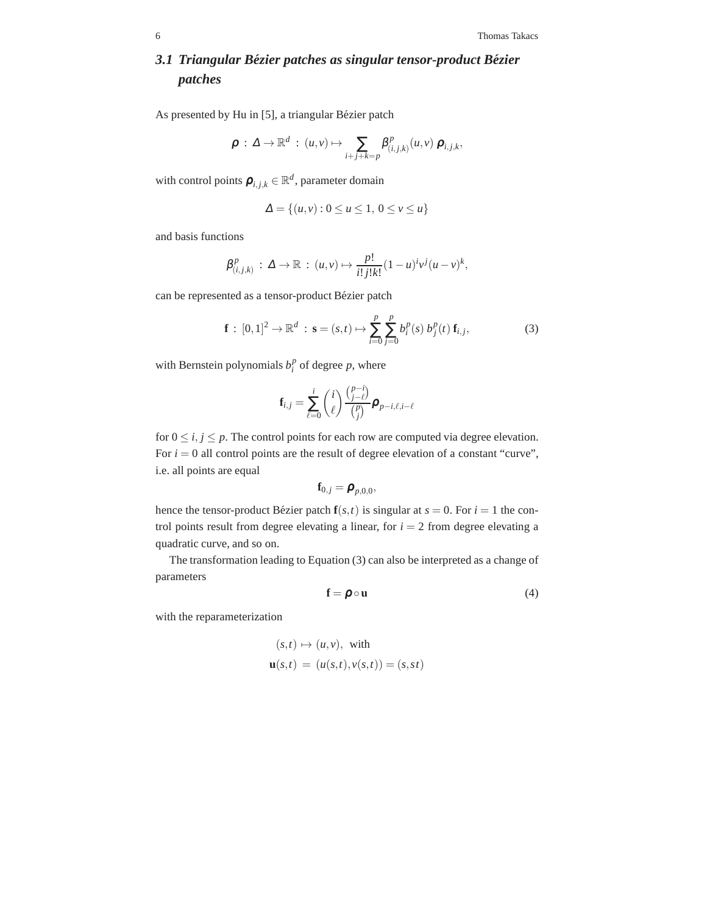## *3.1 Triangular Bezier patches as singular tensor-product B ´ ezier ´ patches*

As presented by Hu in [5], a triangular Bézier patch

$$
\boldsymbol{\rho} \,:\, \Delta \to \mathbb{R}^d \,:\, (u,v) \mapsto \sum_{i+j+k=p} \beta^p_{(i,j,k)}(u,v) \, \boldsymbol{\rho}_{i,j,k},
$$

with control points  $\boldsymbol{\rho}_{i,j,k} \in \mathbb{R}^d$ , parameter domain

$$
\Delta = \{(u, v) : 0 \le u \le 1, \ 0 \le v \le u\}
$$

and basis functions

$$
\beta_{(i,j,k)}^p: \Delta \to \mathbb{R} : (u,v) \mapsto \frac{p!}{i!j!k!}(1-u)^{i}v^j(u-v)^k,
$$

can be represented as a tensor-product Bézier patch

$$
\mathbf{f} : [0,1]^2 \to \mathbb{R}^d : \mathbf{s} = (s,t) \mapsto \sum_{i=0}^p \sum_{j=0}^p b_i^p(s) b_j^p(t) \mathbf{f}_{i,j},
$$
 (3)

with Bernstein polynomials  $b_i^p$  of degree p, where

$$
\mathbf{f}_{i,j} = \sum_{\ell=0}^i \binom{i}{\ell} \frac{\binom{p-i}{j-\ell}}{\binom{p}{j}} \boldsymbol{\rho}_{p-i,\ell,i-\ell}
$$

for  $0 \le i, j \le p$ . The control points for each row are computed via degree elevation. For  $i = 0$  all control points are the result of degree elevation of a constant "curve", i.e. all points are equal

$$
\mathbf{f}_{0,j} = \boldsymbol{\rho}_{p,0,0},
$$

hence the tensor-product Bézier patch  $f(s,t)$  is singular at  $s = 0$ . For  $i = 1$  the control points result from degree elevating a linear, for  $i = 2$  from degree elevating a quadratic curve, and so on.

The transformation leading to Equation (3) can also be interpreted as a change of parameters

$$
\mathbf{f} = \boldsymbol{\rho} \circ \mathbf{u} \tag{4}
$$

with the reparameterization

$$
(s,t) \mapsto (u,v), \text{ with}
$$
  

$$
\mathbf{u}(s,t) = (u(s,t), v(s,t)) = (s, st)
$$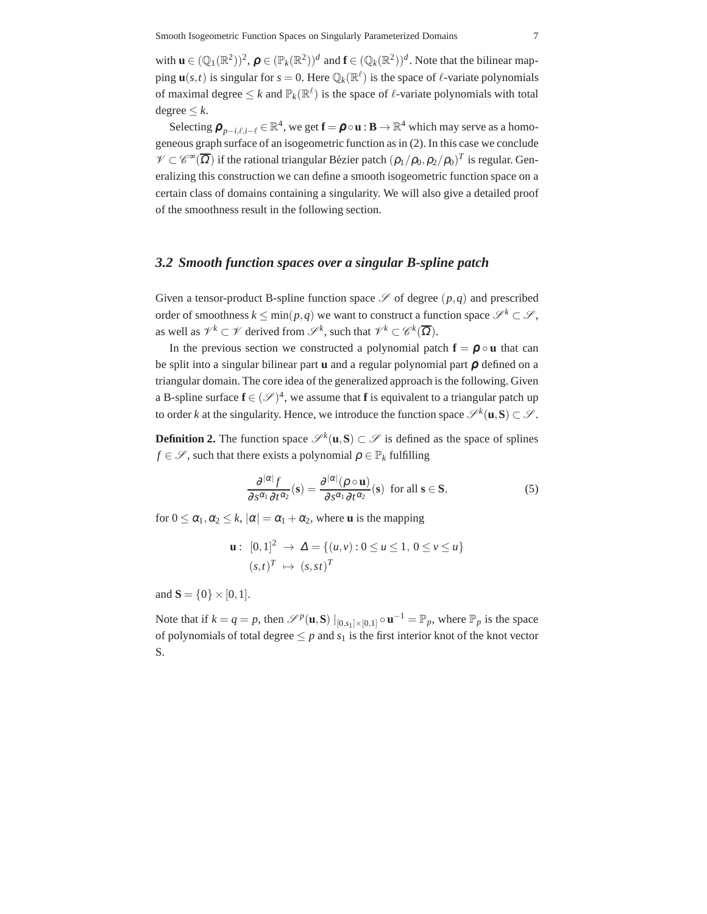with  $\mathbf{u} \in (\mathbb{Q}_1(\mathbb{R}^2))^2$ ,  $\boldsymbol{\rho} \in (\mathbb{P}_k(\mathbb{R}^2))^d$  and  $\mathbf{f} \in (\mathbb{Q}_k(\mathbb{R}^2))^d$ . Note that the bilinear mapping  $\mathbf{u}(s,t)$  is singular for  $s = 0$ . Here  $\mathbb{Q}_k(\mathbb{R}^\ell)$  is the space of  $\ell$ -variate polynomials of maximal degree  $\leq k$  and  $\mathbb{P}_k(\mathbb{R}^{\ell})$  is the space of  $\ell$ -variate polynomials with total  $degree < k$ .

Selecting  $\bm{\rho}_{p-i,\ell,i-\ell} \in \mathbb{R}^4$ , we get  $\mathbf{f} = \bm{\rho} \circ \mathbf{u} : \mathbf{B} \to \mathbb{R}^4$  which may serve as a homogeneous graph surface of an isogeometric function as in (2). In this case we conclude  $\mathscr{V}\subset\mathscr{C}^{\infty}(\overline{\Omega})$  if the rational triangular Bézier patch  $(\rho_1/\rho_0,\rho_2/\rho_0)^T$  is regular. Generalizing this construction we can define a smooth isogeometric function space on a certain class of domains containing a singularity. We will also give a detailed proof of the smoothness result in the following section.

## *3.2 Smooth function spaces over a singular B-spline patch*

Given a tensor-product B-spline function space  $\mathscr S$  of degree  $(p,q)$  and prescribed order of smoothness  $k \leq \min(p,q)$  we want to construct a function space  $\mathscr{S}^k \subset \mathscr{S}$ , as well as  $\mathcal{V}^k \subset \mathcal{V}$  derived from  $\mathcal{S}^k$ , such that  $\mathcal{V}^k \subset \mathcal{C}^k(\overline{\Omega})$ .

In the previous section we constructed a polynomial patch  $f = \rho \circ u$  that can be split into a singular bilinear part **u** and a regular polynomial part ρ defined on a triangular domain. The core idea of the generalized approach is the following. Given a B-spline surface  $f \in (\mathcal{S})^4$ , we assume that f is equivalent to a triangular patch up to order *k* at the singularity. Hence, we introduce the function space  $\mathscr{S}^k(\mathbf{u}, \mathbf{S}) \subset \mathscr{S}$ .

**Definition 2.** The function space  $\mathcal{S}^k(\mathbf{u}, \mathbf{S}) \subset \mathcal{S}$  is defined as the space of splines *f*  $\in \mathcal{S}$ , such that there exists a polynomial  $\rho \in \mathbb{P}_k$  fulfilling

$$
\frac{\partial^{|\alpha|} f}{\partial s^{\alpha_1} \partial t^{\alpha_2}}(\mathbf{s}) = \frac{\partial^{|\alpha|} (\rho \circ \mathbf{u})}{\partial s^{\alpha_1} \partial t^{\alpha_2}}(\mathbf{s}) \text{ for all } \mathbf{s} \in \mathbf{S},
$$
\n(5)

for  $0 \leq \alpha_1, \alpha_2 \leq k$ ,  $|\alpha| = \alpha_1 + \alpha_2$ , where **u** is the mapping

**u**: 
$$
[0,1]^2 \to \Delta = \{(u,v): 0 \le u \le 1, 0 \le v \le u\}
$$
  
 $(s,t)^T \mapsto (s,st)^T$ 

and  $S = \{0\} \times [0,1]$ .

Note that if  $k = q = p$ , then  $\mathscr{S}^p(\mathbf{u}, \mathbf{S}) \big|_{[0, s_1] \times [0, 1]} \circ \mathbf{u}^{-1} = \mathbb{P}_p$ , where  $\mathbb{P}_p$  is the space of polynomials of total degree  $\leq p$  and  $s_1$  is the first interior knot of the knot vector S.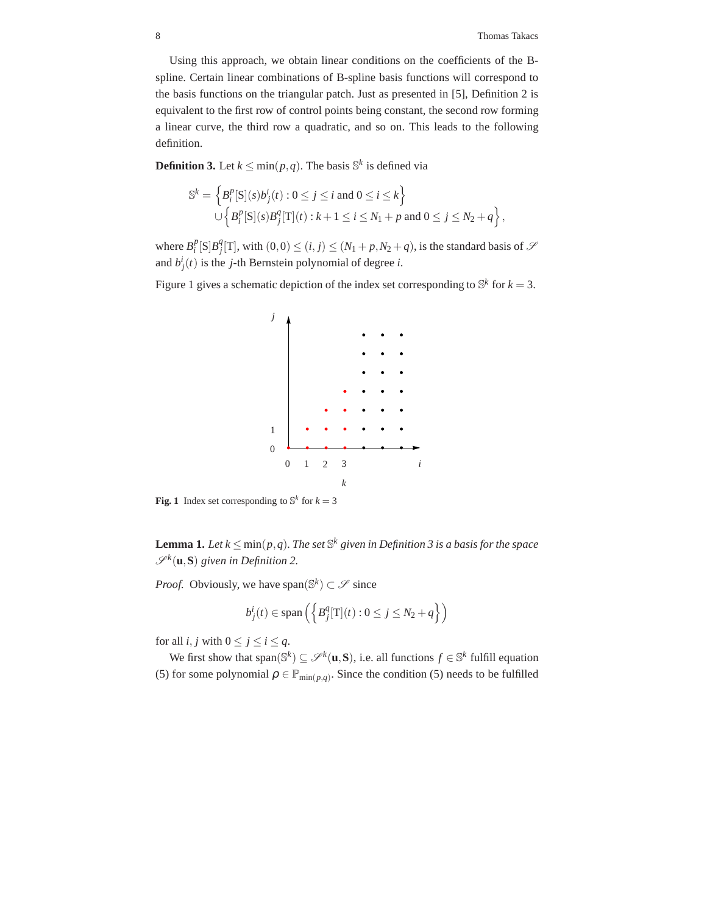Using this approach, we obtain linear conditions on the coefficients of the Bspline. Certain linear combinations of B-spline basis functions will correspond to the basis functions on the triangular patch. Just as presented in [5], Definition 2 is equivalent to the first row of control points being constant, the second row forming a linear curve, the third row a quadratic, and so on. This leads to the following definition.

**Definition 3.** Let  $k \leq \min(p,q)$ . The basis  $\mathbb{S}^k$  is defined via

$$
\mathbb{S}^k = \left\{ B_i^p[\mathbf{S}](s) b_j^i(t) : 0 \le j \le i \text{ and } 0 \le i \le k \right\}
$$
  

$$
\cup \left\{ B_i^p[\mathbf{S}](s) B_j^q[\mathbf{T}](t) : k+1 \le i \le N_1 + p \text{ and } 0 \le j \le N_2 + q \right\},\
$$

where  $B_i^p[S]B_j^q[T]$ , with  $(0,0) \le (i, j) \le (N_1 + p, N_2 + q)$ , is the standard basis of  $S$ and  $b_j^i(t)$  is the *j*-th Bernstein polynomial of degree *i*.

Figure 1 gives a schematic depiction of the index set corresponding to  $\mathbb{S}^k$  for  $k = 3$ .



**Fig. 1** Index set corresponding to  $\mathbb{S}^k$  for  $k = 3$ 

**Lemma 1.** *Let*  $k \leq \min(p,q)$ *. The set*  $\mathbb{S}^k$  *given in Definition 3 is a basis for the space*  $\mathscr{S}^k(\mathbf{u}, \mathbf{S})$  given in Definition 2.

*Proof.* Obviously, we have span $(\mathbb{S}^k) \subset \mathcal{S}$  since

$$
b_j^i(t) \in \text{span}\left(\left\{B_j^q[\text{T}](t): 0 \le j \le N_2 + q\right\}\right)
$$

for all *i*, *j* with  $0 \le j \le i \le q$ .

We first show that span( $\mathbb{S}^k$ )  $\subseteq \mathcal{S}^k(\mathbf{u}, \mathbf{S})$ , i.e. all functions  $f \in \mathbb{S}^k$  fulfill equation (5) for some polynomial  $\rho \in \mathbb{P}_{min(p,q)}$ . Since the condition (5) needs to be fulfilled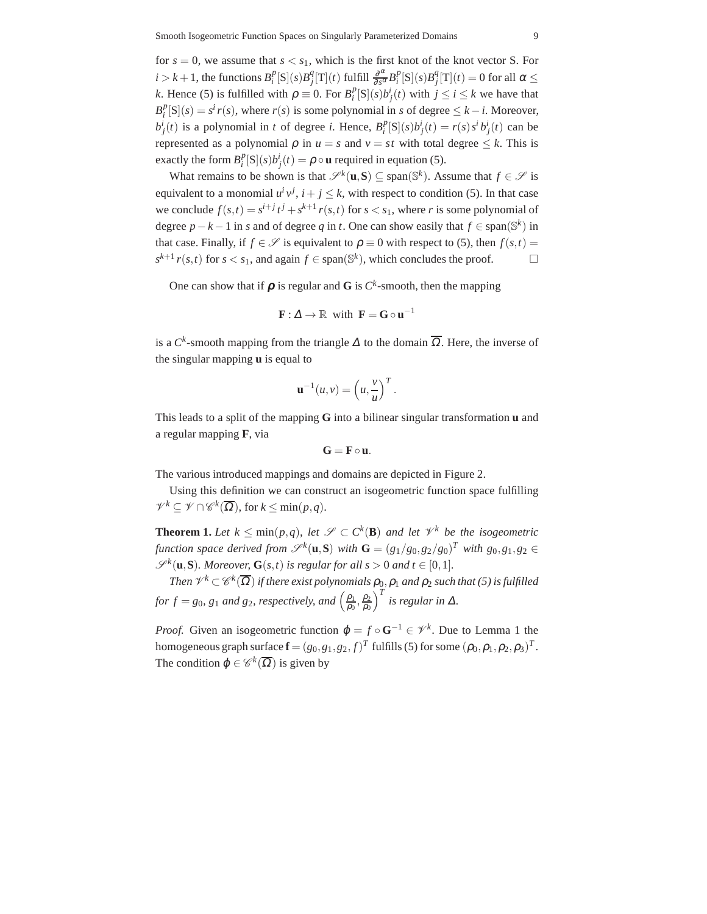for  $s = 0$ , we assume that  $s < s<sub>1</sub>$ , which is the first knot of the knot vector S. For  $i > k + 1$ , the functions  $B_i^p[S](s)B_j^q[T](t)$  fulfill  $\frac{\partial^{\alpha}}{\partial s^{\alpha}}B_i^p[S](s)B_j^q[T](t) = 0$  for all  $\alpha \leq$ *k*. Hence (5) is fulfilled with  $\rho \equiv 0$ . For  $B_i^p[S](s)b_j^i(t)$  with  $j \le i \le k$  we have that  $B_i^p[S](s) = s^i r(s)$ , where *r*(*s*) is some polynomial in *s* of degree  $\leq k - i$ . Moreover,  $b_j^i(t)$  is a polynomial in t of degree i. Hence,  $B_i^p[S](s)b_j^i(t) = r(s)s^i b_j^i(t)$  can be represented as a polynomial  $\rho$  in  $u = s$  and  $v = st$  with total degree  $\leq k$ . This is exactly the form  $B_i^p[S](s)b_j^i(t) = \rho \circ \mathbf{u}$  required in equation (5).

What remains to be shown is that  $\mathscr{S}^k(\mathbf{u}, \mathbf{S}) \subseteq \text{span}(\mathbb{S}^k)$ . Assume that  $f \in \mathscr{S}$  is equivalent to a monomial  $u^i v^j$ ,  $i + j \leq k$ , with respect to condition (5). In that case we conclude  $f(s,t) = s^{i+j}t^j + s^{k+1}r(s,t)$  for  $s < s_1$ , where *r* is some polynomial of degree  $p - k - 1$  in *s* and of degree *q* in *t*. One can show easily that  $f \in span(\mathbb{S}^k)$  in that case. Finally, if  $f \in \mathcal{S}$  is equivalent to  $\rho \equiv 0$  with respect to (5), then  $f(s,t)$  $s^{k+1}$  *r*(*s*,*t*) for *s* < *s*<sub>1</sub>, and again *f* ∈ span( $\mathbb{S}^k$ ), which concludes the proof.  $\Box$ 

One can show that if  $\rho$  is regular and G is  $C^k$ -smooth, then the mapping

$$
\mathbf{F} : \Delta \to \mathbb{R} \text{ with } \mathbf{F} = \mathbf{G} \circ \mathbf{u}^{-1}
$$

is a  $C^k$ -smooth mapping from the triangle  $\Delta$  to the domain  $\overline{\Omega}$ . Here, the inverse of the singular mapping **u** is equal to

$$
\mathbf{u}^{-1}(u,v) = \left(u, \frac{v}{u}\right)^T.
$$

This leads to a split of the mapping **G** into a bilinear singular transformation **u** and a regular mapping **F**, via

$$
G=F\circ u.
$$

The various introduced mappings and domains are depicted in Figure 2.

Using this definition we can construct an isogeometric function space fulfilling  $\mathscr{V}^k \subseteq \mathscr{V} \cap \mathscr{C}^k(\overline{\Omega})$ , for  $k \le \min(p, q)$ .

**Theorem 1.** Let  $k \leq \min(p,q)$ , let  $\mathscr{S} \subset C^k(\mathbf{B})$  and let  $\mathscr{V}^k$  be the isogeometric *function space derived from*  $\mathscr{S}^k(\mathbf{u}, \mathbf{S})$  *with*  $\mathbf{G} = (g_1/g_0, g_2/g_0)^T$  *with*  $g_0, g_1, g_2 \in$  $\mathscr{S}^k(\mathbf{u}, \mathbf{S})$ *. Moreover,*  $\mathbf{G}(s,t)$  *is regular for all s* > 0 *and t*  $\in [0,1]$ *.* 

Then  $\mathscr{V}^k\subset\mathscr{C}^k(\overline{\Omega})$  if there exist polynomials  $\rho_{0}^{}, \rho_{1}^{}$  and  $\rho_{2}^{}$  such that (5) is fulfilled *for*  $f = g_0$ ,  $g_1$  *and*  $g_2$ , *respectively, and*  $\left(\frac{\rho_1}{\rho_0}\right)$  $\frac{\rho_1}{\rho_0}, \frac{\rho_2}{\rho_0}$  $\rho_0$  $\int_0^T i s$  *regular in*  $\Delta$ *.* 

*Proof.* Given an isogeometric function  $\varphi = f \circ \mathbf{G}^{-1} \in \mathcal{V}^k$ . Due to Lemma 1 the homogeneous graph surface  $\mathbf{f} = (g_0,g_1,g_2,f)^T$  fulfills (5) for some  $(\rho_0,\rho_1,\rho_2,\rho_3)^T$ . The condition  $\varphi \in \mathscr{C}^k(\overline{\Omega})$  is given by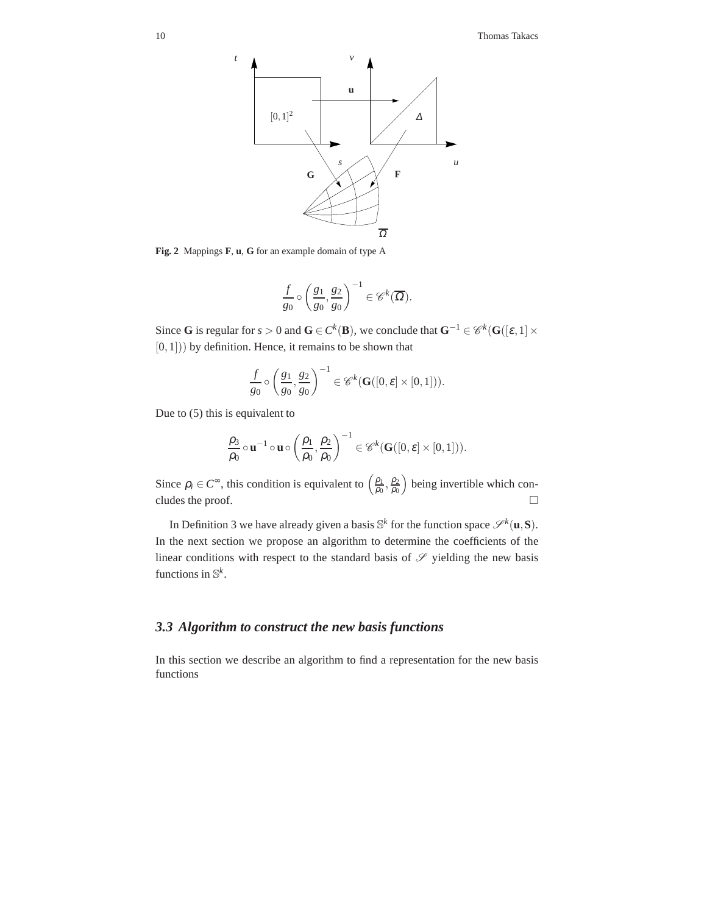

**Fig. 2** Mappings **F**, **u**, **G** for an example domain of type A

*t*

$$
\frac{f}{g_0} \circ \left(\frac{g_1}{g_0}, \frac{g_2}{g_0}\right)^{-1} \in \mathscr{C}^k(\overline{\Omega}).
$$

Since **G** is regular for *s* > 0 and **G** ∈  $C^k$  (**B**), we conclude that **G**<sup>-1</sup> ∈  $\mathcal{C}^k$  (**G**([ $\varepsilon$ , 1] ×  $[0,1]$ ) by definition. Hence, it remains to be shown that

$$
\frac{f}{g_0} \circ \left(\frac{g_1}{g_0}, \frac{g_2}{g_0}\right)^{-1} \in \mathscr{C}^k(\mathbf{G}([0, \varepsilon] \times [0, 1])).
$$

Due to (5) this is equivalent to

$$
\frac{\rho_3}{\rho_0} \circ \mathbf{u}^{-1} \circ \mathbf{u} \circ \left(\frac{\rho_1}{\rho_0}, \frac{\rho_2}{\rho_0}\right)^{-1} \in \mathscr{C}^k(\mathbf{G}([0, \varepsilon] \times [0, 1])).
$$

Since  $\rho_i \in C^{\infty}$ , this condition is equivalent to  $\left(\frac{\rho_1}{\rho_0}\right)$  $\frac{\rho_1}{\rho_0}, \frac{\rho_2}{\rho_0}$  $\rho_0$  being invertible which concludes the proof.  $\Box$ 

In Definition 3 we have already given a basis  $\mathbb{S}^k$  for the function space  $\mathscr{S}^k(\mathbf{u}, \mathbf{S})$ . In the next section we propose an algorithm to determine the coefficients of the linear conditions with respect to the standard basis of  $\mathscr S$  yielding the new basis functions in S *k* .

## *3.3 Algorithm to construct the new basis functions*

In this section we describe an algorithm to find a representation for the new basis functions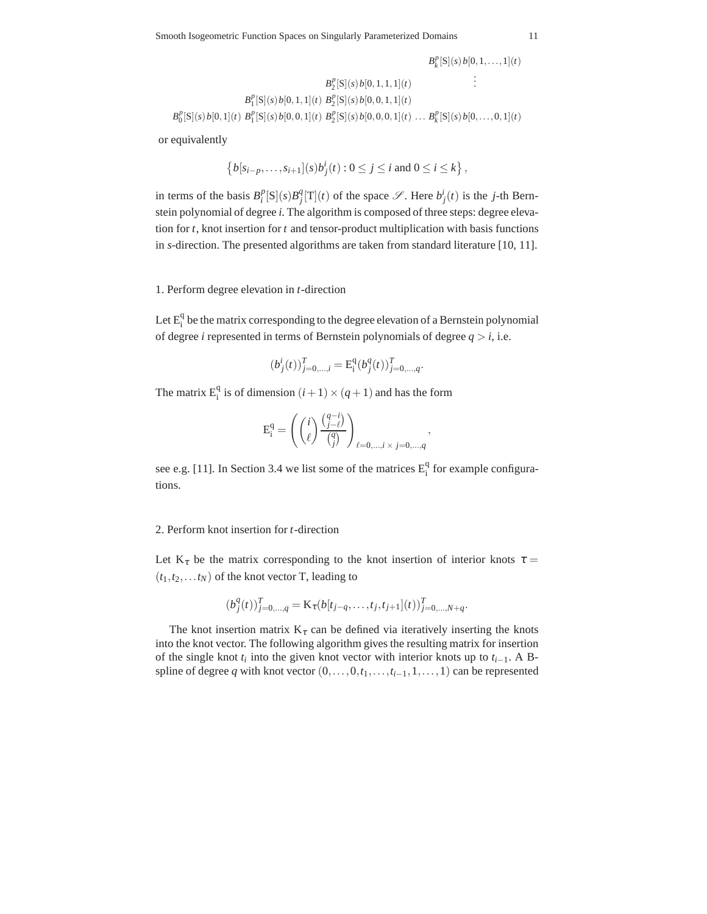$$
B_k^p[S](s) b[0, 1, ..., 1](t)
$$
  
\n
$$
B_1^p[S](s) b[0, 1, 1, 1](t) \qquad \vdots
$$
  
\n
$$
B_1^p[S](s) b[0, 1, 1](t) B_2^p[S](s) b[0, 0, 1, 1](t)
$$
  
\n
$$
B_0^p[S](s) b[0, 1](t) B_1^p[S](s) b[0, 0, 1](t) B_2^p[S](s) b[0, 0, 0, 1](t) ... B_k^p[S](s) b[0, ..., 0, 1](t)
$$

or equivalently

$$
\left\{b[s_{i-p},\ldots,s_{i+1}](s)b_j^i(t):0\leq j\leq i\text{ and }0\leq i\leq k\right\},\right
$$

in terms of the basis  $B_i^p[S](s)B_j^q[T](t)$  of the space  $\mathscr{S}$ . Here  $b_j^i(t)$  is the *j*-th Bernstein polynomial of degree *i*. The algorithm is composed of three steps: degree elevation for *t*, knot insertion for *t* and tensor-product multiplication with basis functions in *s*-direction. The presented algorithms are taken from standard literature [10, 11].

#### 1. Perform degree elevation in *t*-direction

Let  $E_i^q$  be the matrix corresponding to the degree elevation of a Bernstein polynomial of degree *i* represented in terms of Bernstein polynomials of degree  $q > i$ , i.e.

$$
(b^i_j(t))_{j=0,\ldots,i}^T = \mathbf{E}^{\mathbf{q}}_{\mathbf{i}}(b^q_j(t))_{j=0,\ldots,q}^T.
$$

The matrix  $E_i^q$  is of dimension  $(i + 1) \times (q + 1)$  and has the form

$$
\mathbf{E}_{\mathbf{i}}^{\mathbf{q}} = \left( \begin{pmatrix} i \\ \ell \end{pmatrix} \frac{\binom{q-i}{j-\ell}}{\binom{q}{j}} \right)_{\ell=0,\ldots,i \times j=0,\ldots,q},
$$

see e.g. [11]. In Section 3.4 we list some of the matrices  $E_i^q$  for example configurations.

#### 2. Perform knot insertion for *t*-direction

Let  $K_{\tau}$  be the matrix corresponding to the knot insertion of interior knots  $\tau =$  $(t_1, t_2, \ldots t_N)$  of the knot vector T, leading to

$$
(b_j^q(t))_{j=0,\ldots,q}^T = \mathbf{K}_{\tau}(b[t_{j-q},\ldots,t_j,t_{j+1}](t))_{j=0,\ldots,N+q}^T
$$

.

The knot insertion matrix  $K_{\tau}$  can be defined via iteratively inserting the knots into the knot vector. The following algorithm gives the resulting matrix for insertion of the single knot  $t_i$  into the given knot vector with interior knots up to  $t_{i-1}$ . A Bspline of degree *q* with knot vector  $(0, \ldots, 0, t_1, \ldots, t_{i-1}, 1, \ldots, 1)$  can be represented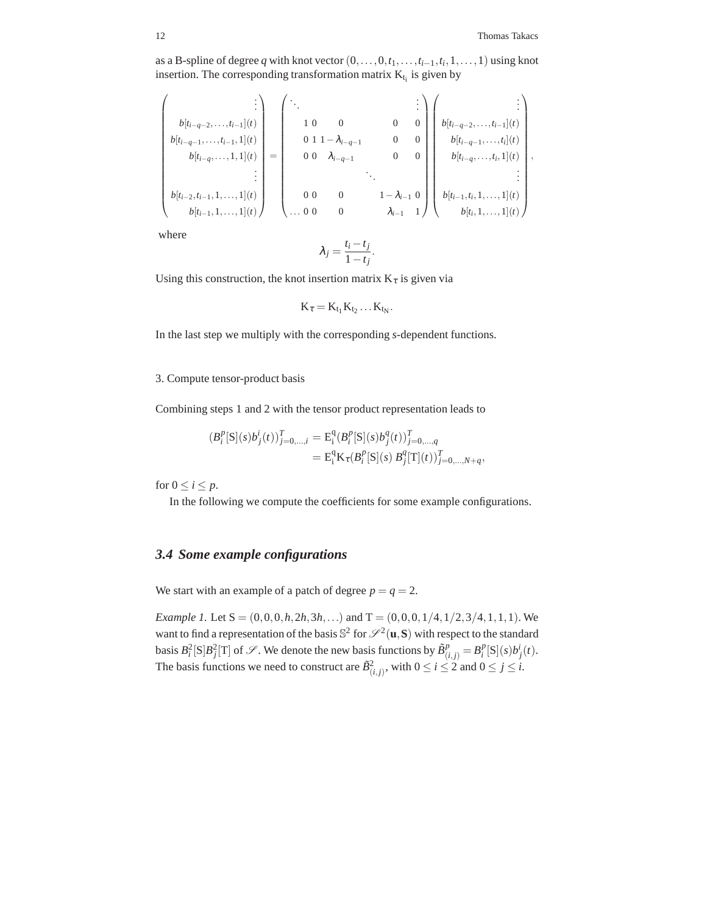,

as a B-spline of degree *q* with knot vector  $(0, \ldots, 0, t_1, \ldots, t_{i-1}, t_i, 1, \ldots, 1)$  using knot insertion. The corresponding transformation matrix  $K_{t_i}$  is given by

$$
\begin{pmatrix}\n\vdots \\
b[t_{i-q-2},\ldots,t_{i-1},1](t) \\
b[t_{i-q},\ldots,1,1](t) \\
\vdots \\
b[t_{i-2},t_{i-1},1,\ldots,1](t) \\
\vdots \\
b[t_{i-1},1,\ldots,1](t)\n\end{pmatrix} = \begin{pmatrix}\n\ddots & & & & \vdots \\
1 & 0 & 0 & 0 & 0 \\
0 & 1 & 1 - \lambda_{i-q-1} & 0 & 0 \\
0 & 0 & \lambda_{i-q-1} & 0 & 0 \\
\vdots & & & \ddots & \vdots \\
0 & 0 & 0 & 1 - \lambda_{i-1} & 0 \\
\vdots & & & & \vdots \\
0 & 0 & 0 & \lambda_{i-1} & 1\n\end{pmatrix} \begin{pmatrix}\n\vdots \\
b[t_{i-q-2},\ldots,t_{i-1}](t) \\
b[t_{i-q-1},\ldots,t_i](t) \\
b[t_{i-q},\ldots,t_i,1](t) \\
\vdots \\
b[t_{i-1},t_i,1,\ldots,1](t)\n\end{pmatrix}
$$

where

$$
\lambda_j = \frac{t_i - t_j}{1 - t_j}.
$$

Using this construction, the knot insertion matrix  $K_{\tau}$  is given via

$$
K_{\tau}=K_{t_1}K_{t_2}\ldots K_{t_N}.
$$

In the last step we multiply with the corresponding *s*-dependent functions.

## 3. Compute tensor-product basis

Combining steps 1 and 2 with the tensor product representation leads to

$$
(B_i^p[S](s)b_j^i(t))_{j=0,\dots,i}^T = \mathcal{E}_i^q (B_i^p[S](s)b_j^q(t))_{j=0,\dots,q}^T
$$
  
= 
$$
\mathcal{E}_i^q \mathcal{K}_\tau (B_i^p[S](s) B_j^q[T](t))_{j=0,\dots,N+q}^T,
$$

for  $0 \le i \le p$ .

In the following we compute the coefficients for some example configurations.

## *3.4 Some example configurations*

We start with an example of a patch of degree  $p = q = 2$ .

*Example 1.* Let  $S = (0,0,0,h,2h,3h,...)$  and  $T = (0,0,0,1/4,1/2,3/4,1,1,1)$ . We want to find a representation of the basis  $\mathbb{S}^2$  for  $\mathscr{S}^2(\mathbf{u},\mathbf{S})$  with respect to the standard basis  $B_i^2[S|B_j^2[T]$  of  $S$ . We denote the new basis functions by  $\tilde{B}_{(i,j)}^p = B_i^p[S](s)b_j^i(t)$ . The basis functions we need to construct are  $\tilde{B}^2_{(i,j)}$ , with  $0 \le i \le 2$  and  $0 \le j \le i$ .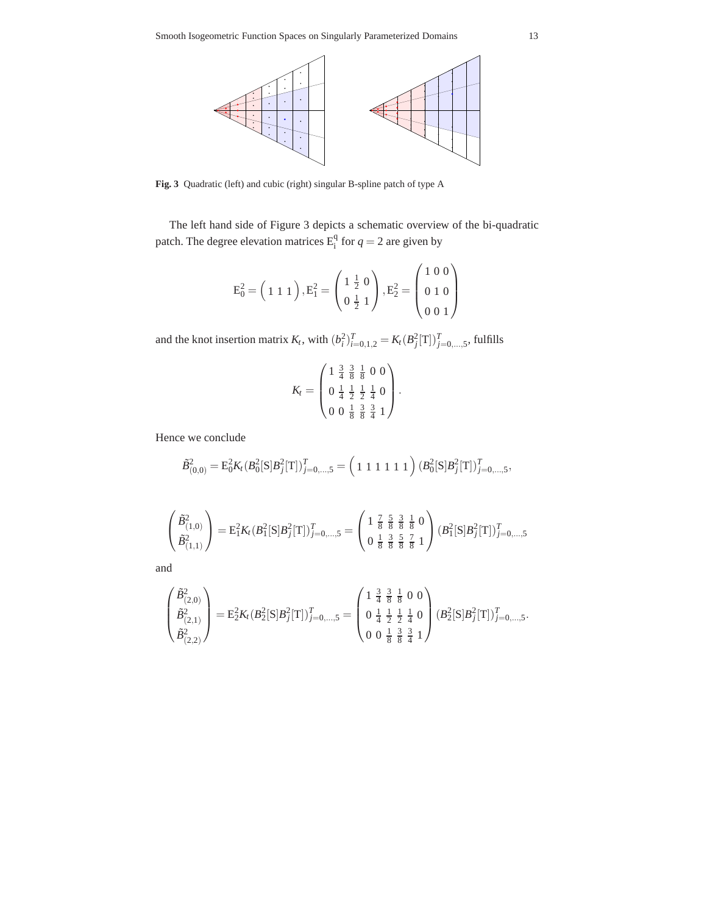

**Fig. 3** Quadratic (left) and cubic (right) singular B-spline patch of type A

The left hand side of Figure 3 depicts a schematic overview of the bi-quadratic patch. The degree elevation matrices  $E_i^q$  for  $q = 2$  are given by

$$
E_0^2 = \left(1 \; 1 \; 1\; \right), E_1^2 = \left(\begin{matrix} 1 \; \frac{1}{2} \; 0 \\ 0 \; \frac{1}{2} \; 1 \end{matrix}\right), E_2^2 = \left(\begin{matrix} 1 \; 0 \; 0 \\ 0 \; 1 \; 0 \\ 0 \; 0 \; 1 \end{matrix}\right)
$$

and the knot insertion matrix  $K_t$ , with  $(b_i^2)_{i=0,1,2}^T = K_t (B_j^2[T])_{j=0,\dots,5}^T$ , fulfills

$$
K_t = \begin{pmatrix} 1 & \frac{3}{4} & \frac{3}{8} & \frac{1}{8} & 0 & 0 \\ 0 & \frac{1}{4} & \frac{1}{2} & \frac{1}{4} & 0 \\ 0 & 0 & \frac{1}{8} & \frac{3}{8} & \frac{3}{4} & 1 \end{pmatrix}.
$$

Hence we conclude

$$
\tilde{B}_{(0,0)}^2 = \mathbf{E}_0^2 K_t (B_0^2[\mathbf{S}]B_j^2[\mathbf{T}])_{j=0,\ldots,5}^T = \left(1 \ 1 \ 1 \ 1 \ 1 \ 1 \ 1 \right) (B_0^2[\mathbf{S}]B_j^2[\mathbf{T}])_{j=0,\ldots,5}^T,
$$

$$
\begin{pmatrix}\n\tilde{B}_{(1,0)}^2 \\
\tilde{B}_{(1,1)}^2\n\end{pmatrix} = \mathbf{E}_1^2 K_t (B_1^2 [\mathbf{S}] B_j^2 [\mathbf{T}])_{j=0,\ldots,5}^T = \begin{pmatrix}\n1 & \frac{7}{8} & \frac{5}{8} & \frac{3}{8} & \frac{1}{8} & 0 \\
0 & \frac{1}{8} & \frac{3}{8} & \frac{5}{8} & \frac{7}{8} & 1\n\end{pmatrix} (B_1^2 [\mathbf{S}] B_j^2 [\mathbf{T}])_{j=0,\ldots,5}^T
$$

and

$$
\begin{pmatrix}\n\tilde{B}_{(2,0)}^2 \\
\tilde{B}_{(2,1)}^2 \\
\tilde{B}_{(2,2)}^2\n\end{pmatrix} = \mathbf{E}_2^2 K_t (B_2^2 [\mathbf{S}] B_j^2 [\mathbf{T}])_{j=0,\dots,5}^T = \begin{pmatrix}\n1 & \frac{3}{4} & \frac{3}{8} & \frac{1}{8} & 0 & 0 \\
0 & \frac{1}{4} & \frac{1}{2} & \frac{1}{4} & 0 \\
0 & 0 & \frac{1}{8} & \frac{3}{8} & \frac{3}{4} & 1\n\end{pmatrix} (B_2^2 [\mathbf{S}] B_j^2 [\mathbf{T}])_{j=0,\dots,5}^T
$$

.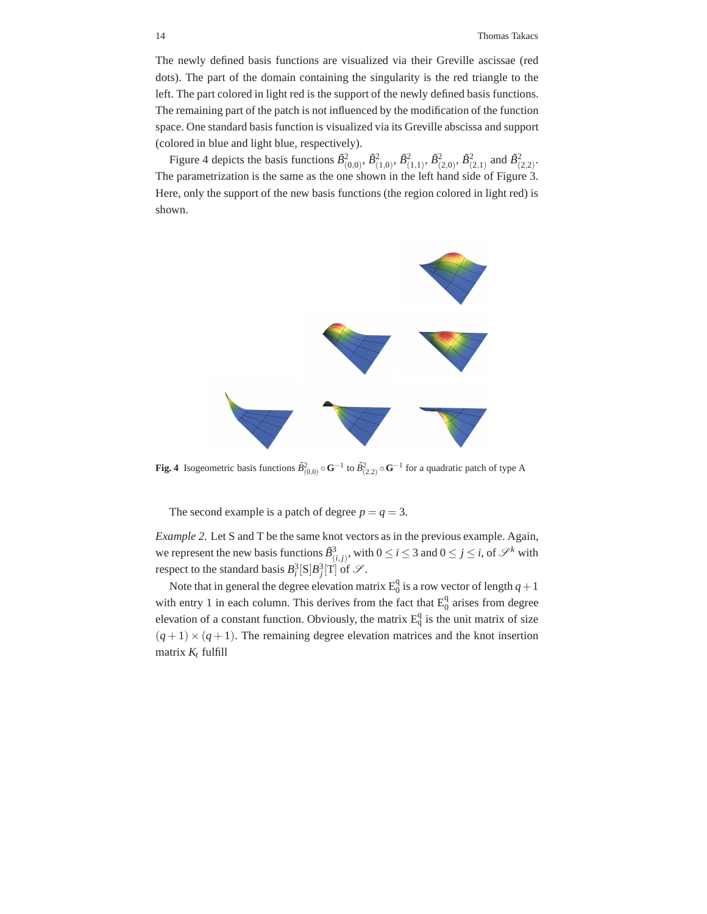The newly defined basis functions are visualized via their Greville ascissae (red dots). The part of the domain containing the singularity is the red triangle to the left. The part colored in light red is the support of the newly defined basis functions. The remaining part of the patch is not influenced by the modification of the function space. One standard basis function is visualized via its Greville abscissa and support (colored in blue and light blue, respectively).

Figure 4 depicts the basis functions  $\tilde{B}^2_{(0,0)}, \tilde{B}^2_{(1,0)}, \tilde{B}^2_{(1,1)}, \tilde{B}^2_{(2,0)}, \tilde{B}^2_{(2,1)}$  and  $\tilde{B}^2_{(2,2)}$ . The parametrization is the same as the one shown in the left hand side of Figure 3. Here, only the support of the new basis functions (the region colored in light red) is shown.



**Fig. 4** Isogeometric basis functions  $\tilde{B}^2_{(0,0)} \circ \mathbf{G}^{-1}$  to  $\tilde{B}^2_{(2,2)} \circ \mathbf{G}^{-1}$  for a quadratic patch of type A

The second example is a patch of degree  $p = q = 3$ .

*Example 2.* Let S and T be the same knot vectors as in the previous example. Again, we represent the new basis functions  $\tilde{B}^3_{(i,j)}$ , with  $0 \le i \le 3$  and  $0 \le j \le i$ , of  $\mathscr{S}^k$  with respect to the standard basis  $B_i^3[S]B_j^3[T]$  of  $\mathcal{S}$ .

Note that in general the degree elevation matrix  $E_0^q$  is a row vector of length  $q+1$ with entry 1 in each column. This derives from the fact that  $E_0^q$  arises from degree elevation of a constant function. Obviously, the matrix  $E_q^q$  is the unit matrix of size  $(q+1) \times (q+1)$ . The remaining degree elevation matrices and the knot insertion matrix *K<sup>t</sup>* fulfill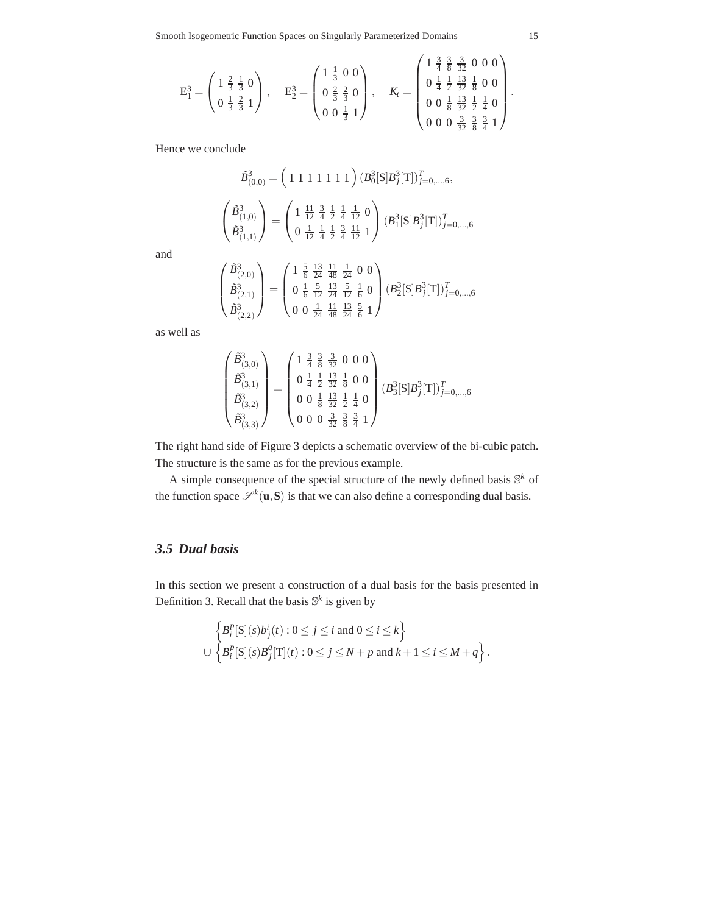Smooth Isogeometric Function Spaces on Singularly Parameterized Domains 15

$$
E_1^3 = \begin{pmatrix} 1 & \frac{2}{3} & \frac{1}{3} & 0 \\ 0 & \frac{1}{3} & \frac{2}{3} & 1 \end{pmatrix}, \quad E_2^3 = \begin{pmatrix} 1 & \frac{1}{3} & 0 & 0 \\ 0 & \frac{2}{3} & \frac{2}{3} & 0 \\ 0 & 0 & \frac{1}{3} & 1 \end{pmatrix}, \quad K_t = \begin{pmatrix} 1 & \frac{3}{4} & \frac{3}{8} & \frac{3}{32} & 0 & 0 & 0 \\ 0 & \frac{1}{4} & \frac{1}{2} & \frac{13}{32} & \frac{1}{8} & 0 & 0 \\ 0 & 0 & \frac{1}{8} & \frac{13}{32} & \frac{1}{2} & \frac{1}{4} & 0 \\ 0 & 0 & 0 & \frac{3}{32} & \frac{3}{8} & \frac{3}{4} & 1 \end{pmatrix}.
$$

Hence we conclude

 $\sqrt{ }$ 

 $\overline{\phantom{a}}$ 

$$
\begin{split} \tilde{B}^3_{(0,0)}&=\left( \begin{array}{cc} 1 & 1 & 1 & 1 & 1 & 1 \end{array} \right) \bigl( B^3_0[\mathbf{S}] B^3_j[\mathbf{T}] \bigr)^T_{j=0,\ldots,6},\\ \left( \begin{array}{c} \tilde{B}^3_{(1,0)} \\ \tilde{B}^3_{(1,1)} \end{array} \right) &=\left( \begin{array}{cc} 1 & \frac{11}{12} & \frac{3}{4} & \frac{1}{2} & \frac{1}{4} & \frac{1}{12} & 0 \\ 0 & \frac{1}{12} & \frac{1}{4} & \frac{1}{2} & \frac{3}{4} & \frac{11}{12} & 1 \end{array} \right) \bigl( B^3_1[\mathbf{S}] B^3_j[\mathbf{T}] \bigr)^T_{j=0,\ldots,6} \end{split}
$$

and

$$
\begin{pmatrix}\n\tilde{B}^3_{(2,0)} \\
\tilde{B}^3_{(2,1)} \\
\tilde{B}^3_{(2,2)}\n\end{pmatrix} = \begin{pmatrix}\n1 & \frac{5}{6} & \frac{13}{24} & \frac{11}{48} & \frac{1}{24} & 0 & 0 \\
0 & \frac{1}{6} & \frac{5}{12} & \frac{13}{24} & \frac{5}{12} & \frac{1}{6} & 0 \\
0 & 0 & \frac{1}{24} & \frac{11}{48} & \frac{13}{24} & \frac{5}{6} & 1\n\end{pmatrix} (B_2^3[S]B_j^3[T])_{j=0,\dots,6}^T
$$

as well as

$$
\begin{pmatrix}\n\tilde{B}^3_{(3,0)} \\
\tilde{B}^3_{(3,1)} \\
\tilde{B}^3_{(3,2)} \\
\tilde{B}^3_{(3,3)}\n\end{pmatrix} = \begin{pmatrix}\n1 & \frac{3}{4} & \frac{3}{8} & \frac{3}{32} & 0 & 0 & 0 \\
0 & \frac{1}{4} & \frac{1}{2} & \frac{3}{32} & \frac{1}{8} & 0 & 0 \\
0 & 0 & \frac{1}{8} & \frac{13}{32} & \frac{1}{2} & \frac{1}{4} & 0 \\
0 & 0 & 0 & \frac{3}{32} & \frac{3}{8} & \frac{3}{4} & 1\n\end{pmatrix} (B_3^3[S]B_j^3[T])_{j=0,\dots,6}^T
$$

The right hand side of Figure 3 depicts a schematic overview of the bi-cubic patch. The structure is the same as for the previous example.

A simple consequence of the special structure of the newly defined basis  $\mathbb{S}^k$  of the function space  $\mathcal{S}^k(\mathbf{u}, \mathbf{S})$  is that we can also define a corresponding dual basis.

## *3.5 Dual basis*

In this section we present a construction of a dual basis for the basis presented in Definition 3. Recall that the basis  $\mathbb{S}^k$  is given by

$$
\begin{aligned}\n\left\{ B_i^p[S](s)b_j^i(t) : 0 \le j \le i \text{ and } 0 \le i \le k \right\} \\
\cup \left\{ B_i^p[S](s)B_j^q[T](t) : 0 \le j \le N + p \text{ and } k + 1 \le i \le M + q \right\}.\n\end{aligned}
$$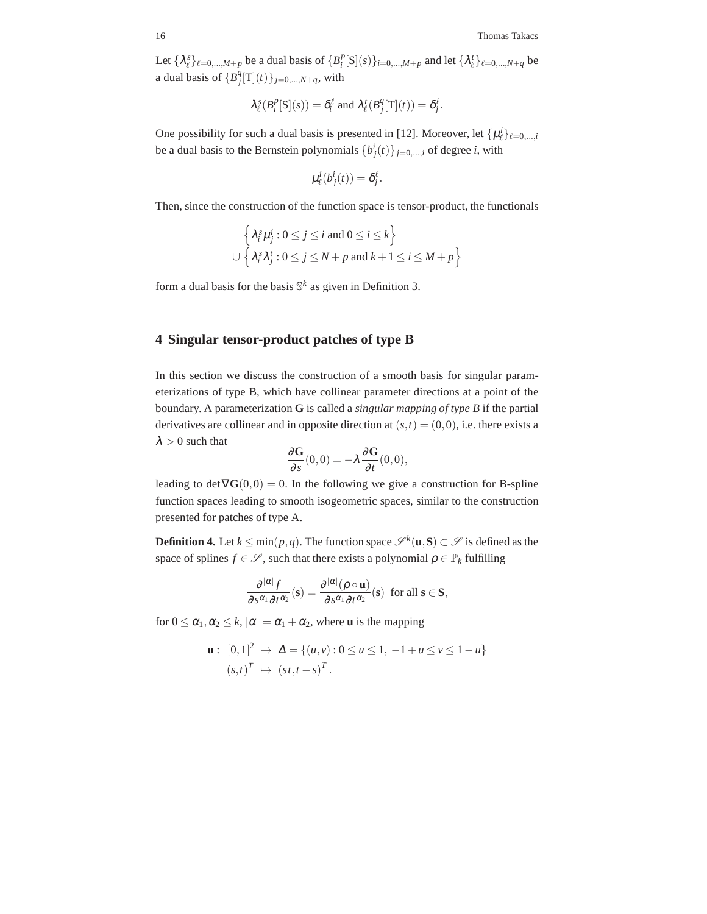Let  $\{\lambda_{\ell}^{s}\}_{{\ell}=0,\ldots,M+p}$  be a dual basis of  $\{B_{i}^{p}[S](s)\}_{{i=0,\ldots,M+p}}$  and let  $\{\lambda_{\ell}^{t}\}_{{\ell}=0,\ldots,N+q}$  be a dual basis of  ${B_j^q[\text{T}](t)}_{j=0,\dots,N+q}$ , with

$$
\lambda_{\ell}^{s}(B_{i}^{p}[S](s)) = \delta_{i}^{\ell} \text{ and } \lambda_{\ell}^{t}(B_{j}^{q}[T](t)) = \delta_{j}^{\ell}.
$$

One possibility for such a dual basis is presented in [12]. Moreover, let  $\{\mu_\ell^i\}_{\ell=0,\dots,i}$ be a dual basis to the Bernstein polynomials  $\{b^i_j(t)\}_{j=0,\dots,i}$  of degree *i*, with

$$
\mu_{\ell}^i(b_j^i(t)) = \delta_j^{\ell}.
$$

Then, since the construction of the function space is tensor-product, the functionals

$$
\left\{\lambda_i^s \mu_j^i : 0 \le j \le i \text{ and } 0 \le i \le k\right\}
$$
  

$$
\cup \left\{\lambda_i^s \lambda_j^t : 0 \le j \le N + p \text{ and } k + 1 \le i \le M + p\right\}
$$

form a dual basis for the basis  $\mathbb{S}^k$  as given in Definition 3.

## **4 Singular tensor-product patches of type B**

In this section we discuss the construction of a smooth basis for singular parameterizations of type B, which have collinear parameter directions at a point of the boundary. A parameterization **G** is called a *singular mapping of type B* if the partial derivatives are collinear and in opposite direction at  $(s,t) = (0,0)$ , i.e. there exists a  $\lambda > 0$  such that

$$
\frac{\partial \mathbf{G}}{\partial s}(0,0)=-\lambda \frac{\partial \mathbf{G}}{\partial t}(0,0),
$$

leading to det  $\nabla G(0,0) = 0$ . In the following we give a construction for B-spline function spaces leading to smooth isogeometric spaces, similar to the construction presented for patches of type A.

**Definition 4.** Let  $k \le \min(p, q)$ . The function space  $\mathscr{S}^k(\mathbf{u}, \mathbf{S}) \subset \mathscr{S}$  is defined as the space of splines  $f \in \mathcal{S}$ , such that there exists a polynomial  $\rho \in \mathbb{P}_k$  fulfilling

$$
\frac{\partial^{|\alpha|} f}{\partial s^{\alpha_1} \partial t^{\alpha_2}}(\mathbf{s}) = \frac{\partial^{|\alpha|} (\rho \circ \mathbf{u})}{\partial s^{\alpha_1} \partial t^{\alpha_2}}(\mathbf{s}) \text{ for all } \mathbf{s} \in \mathbf{S},
$$

for  $0 \leq \alpha_1, \alpha_2 \leq k$ ,  $|\alpha| = \alpha_1 + \alpha_2$ , where **u** is the mapping

$$
\mathbf{u}: [0,1]^2 \to \Delta = \{(u,v): 0 \le u \le 1, -1 + u \le v \le 1 - u\}
$$
  

$$
(s,t)^T \mapsto (st, t - s)^T.
$$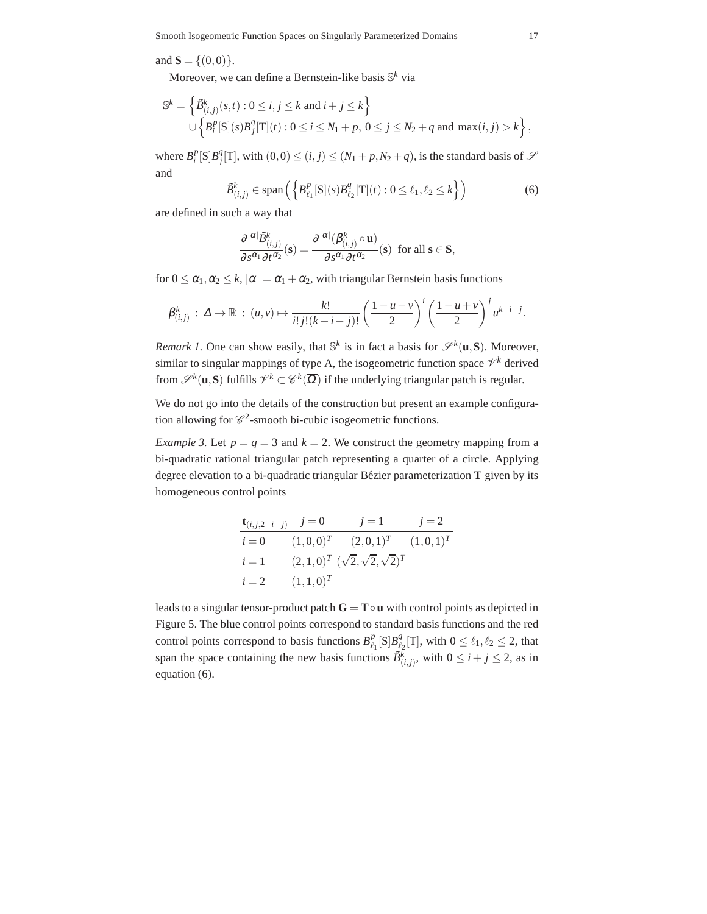and  $S = \{(0,0)\}.$ 

Moreover, we can define a Bernstein-like basis S *<sup>k</sup>* via

$$
\mathbb{S}^{k} = \left\{ \tilde{B}_{(i,j)}^{k}(s,t) : 0 \le i, j \le k \text{ and } i + j \le k \right\} \cup \left\{ B_{i}^{p}[S](s) B_{j}^{q}[T](t) : 0 \le i \le N_{1} + p, 0 \le j \le N_{2} + q \text{ and } \max(i,j) > k \right\},\
$$

where  $B_i^p[S]B_j^q[T]$ , with  $(0,0) \le (i, j) \le (N_1 + p, N_2 + q)$ , is the standard basis of  $S$ and

$$
\tilde{B}^k_{(i,j)} \in \text{span}\left(\left\{B^p_{\ell_1}[\mathbf{S}](s)B^q_{\ell_2}[\mathbf{T}](t): 0 \le \ell_1, \ell_2 \le k\right\}\right) \tag{6}
$$

are defined in such a way that

$$
\frac{\partial^{|\alpha|}\tilde{B}_{(i,j)}^k}{\partial s^{\alpha_1}\partial t^{\alpha_2}}(\mathbf{s})=\frac{\partial^{|\alpha|}(\beta_{(i,j)}^k\circ\mathbf{u})}{\partial s^{\alpha_1}\partial t^{\alpha_2}}(\mathbf{s})\ \ \text{for all}\ \mathbf{s}\in\mathbf{S},
$$

for  $0 \leq \alpha_1, \alpha_2 \leq k$ ,  $|\alpha| = \alpha_1 + \alpha_2$ , with triangular Bernstein basis functions

$$
\beta_{(i,j)}^k : \Delta \to \mathbb{R} : (u,v) \mapsto \frac{k!}{i!j!(k-i-j)!} \left(\frac{1-u-v}{2}\right)^i \left(\frac{1-u+v}{2}\right)^j u^{k-i-j}.
$$

*Remark 1*. One can show easily, that  $\mathbb{S}^k$  is in fact a basis for  $\mathcal{S}^k(\mathbf{u}, \mathbf{S})$ . Moreover, similar to singular mappings of type A, the isogeometric function space  $\mathcal{V}^k$  derived from  $\mathscr{S}^k(\mathbf{u}, \mathbf{S})$  fulfills  $\mathscr{V}^k \subset \mathscr{C}^k(\overline{\Omega})$  if the underlying triangular patch is regular.

We do not go into the details of the construction but present an example configuration allowing for  $\mathcal{C}^2$ -smooth bi-cubic isogeometric functions.

*Example 3.* Let  $p = q = 3$  and  $k = 2$ . We construct the geometry mapping from a bi-quadratic rational triangular patch representing a quarter of a circle. Applying degree elevation to a bi-quadratic triangular Bézier parameterization **T** given by its homogeneous control points

$$
\begin{aligned}\n\mathbf{t}_{(i,j,2-i-j)} & j &= 0 & j &= 1 & j &= 2 \\
i &= 0 & (1,0,0)^T & (2,0,1)^T & (1,0,1)^T \\
i &= 1 & (2,1,0)^T & (\sqrt{2},\sqrt{2},\sqrt{2})^T \\
i &= 2 & (1,1,0)^T\n\end{aligned}
$$

leads to a singular tensor-product patch  $G = T \circ u$  with control points as depicted in Figure 5. The blue control points correspond to standard basis functions and the red control points correspond to basis functions  $B^p_{\ell}$  $_{\ell_1}^p$ [S] $B_{\ell_2}^q$  $\ell_2^q$ [T], with  $0 \leq \ell_1, \ell_2 \leq 2$ , that span the space containing the new basis functions  $\tilde{B}^{\overline{k}}_{(i,j)}$ , with  $0 \le i + j \le 2$ , as in equation (6).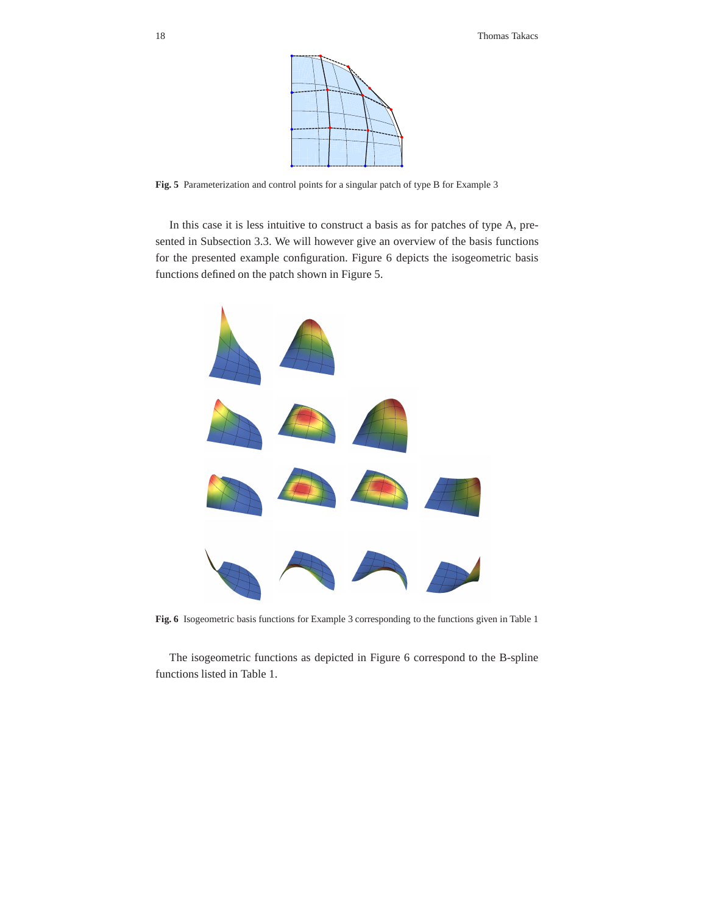

**Fig. 5** Parameterization and control points for a singular patch of type B for Example 3

In this case it is less intuitive to construct a basis as for patches of type A, presented in Subsection 3.3. We will however give an overview of the basis functions for the presented example configuration. Figure 6 depicts the isogeometric basis functions defined on the patch shown in Figure 5.



**Fig. 6** Isogeometric basis functions for Example 3 corresponding to the functions given in Table 1

The isogeometric functions as depicted in Figure 6 correspond to the B-spline functions listed in Table 1.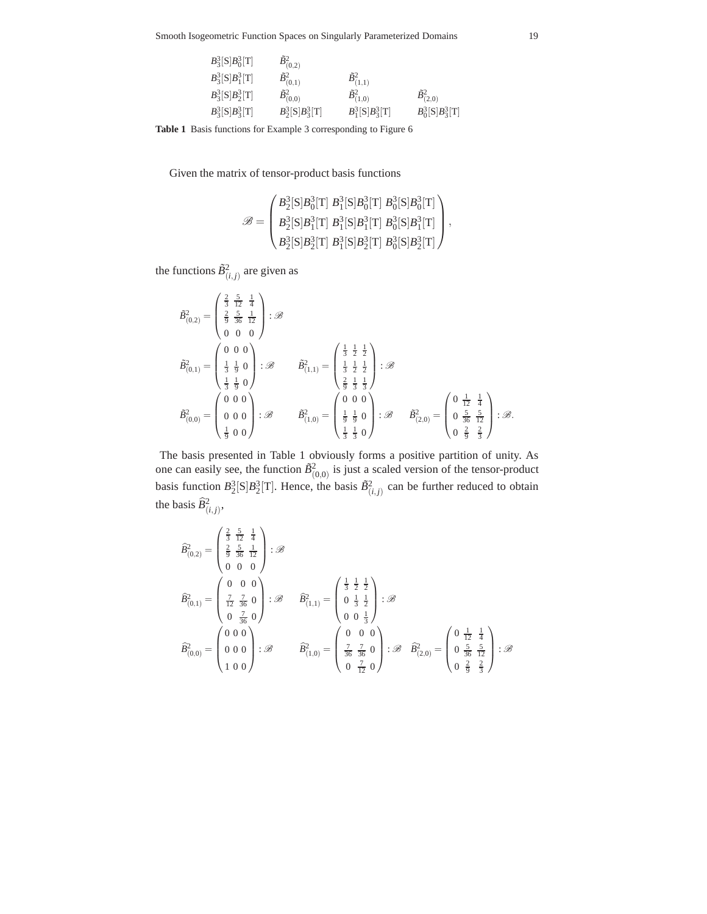Smooth Isogeometric Function Spaces on Singularly Parameterized Domains 19

| $B_3^3[S]B_0^3[T]$ | $\tilde{B}_{(0,2)}^2$ |                       |                       |
|--------------------|-----------------------|-----------------------|-----------------------|
| $B_3^3[S]B_1^3[T]$ | $\tilde{B}_{(0,1)}^2$ | $\tilde{B}_{(1,1)}^2$ |                       |
| $B_3^3[S]B_2^3[T]$ | $\tilde{B}_{(0,0)}^2$ | $\tilde{B}_{(1,0)}^2$ | $\tilde{B}_{(2,0)}^2$ |
| $B_3^3[S]B_3^3[T]$ | $B_2^3[S]B_3^3[T]$    | $B_1^3[S]B_3^3[T]$    | $B_0^3[S]B_3^3[T]$    |

**Table 1** Basis functions for Example 3 corresponding to Figure 6

Given the matrix of tensor-product basis functions

$$
\mathscr{B} = \begin{pmatrix} B_2^3 [\text{S}] B_0^3 [\text{T}] \ B_1^3 [\text{S}] B_0^3 [\text{T}] \ B_0^3 [\text{S}] B_0^3 [\text{T}] \\ B_2^3 [\text{S}] B_1^3 [\text{T}] \ B_1^3 [\text{S}] B_1^3 [\text{T}] \ B_0^3 [\text{S}] B_1^3 [\text{T}] \\ B_2^3 [\text{S}] B_2^3 [\text{T}] \ B_1^3 [\text{S}] B_2^3 [\text{T}] \ B_0^3 [\text{S}] B_2^3 [\text{T}] \end{pmatrix},
$$

the functions  $\tilde{B}^2_{(i,j)}$  are given as

$$
\tilde{B}_{(0,2)}^2 = \begin{pmatrix} \frac{2}{3} & \frac{5}{12} & \frac{1}{4} \\ \frac{2}{9} & \frac{5}{36} & \frac{1}{12} \\ 0 & 0 & 0 \\ \frac{1}{3} & \frac{1}{9} & 0 \\ \frac{1}{3} & \frac{1}{9} & 0 \end{pmatrix} : \mathscr{B}
$$
\n
$$
\tilde{B}_{(0,1)}^2 = \begin{pmatrix} 0 & 0 & 0 \\ \frac{1}{3} & \frac{1}{9} & 0 \\ \frac{1}{3} & \frac{1}{9} & 0 \\ \frac{1}{9} & 0 & 0 \end{pmatrix} : \mathscr{B}
$$
\n
$$
\tilde{B}_{(1,0)}^2 = \begin{pmatrix} 0 & 0 & 0 \\ \frac{1}{3} & \frac{1}{2} & \frac{1}{2} \\ \frac{1}{9} & \frac{1}{3} & \frac{1}{3} \end{pmatrix} : \mathscr{B}
$$
\n
$$
\tilde{B}_{(1,0)}^2 = \begin{pmatrix} 0 & 0 & 0 \\ \frac{1}{9} & \frac{1}{9} & 0 \\ \frac{1}{3} & \frac{1}{3} & 0 \end{pmatrix} : \mathscr{B}
$$
\n
$$
\tilde{B}_{(2,0)}^2 = \begin{pmatrix} 0 & \frac{1}{12} & \frac{1}{4} \\ 0 & \frac{5}{36} & \frac{5}{12} \\ 0 & \frac{2}{9} & \frac{2}{3} \end{pmatrix} : \mathscr{B}.
$$

The basis presented in Table 1 obviously forms a positive partition of unity. As one can easily see, the function  $\tilde{B}^2_{(0,0)}$  is just a scaled version of the tensor-product basis function  $B_2^3[S]B_2^3[T]$ . Hence, the basis  $\tilde{B}^2_{(i,j)}$  can be further reduced to obtain the basis  $\widehat{B}^2_{(i,j)},$ 

$$
\begin{aligned} \widehat{B}^2_{(0,2)} & = \begin{pmatrix} \frac{2}{3} & \frac{5}{12} & \frac{1}{4} \\ \frac{2}{9} & \frac{5}{36} & \frac{1}{12} \\ 0 & 0 & 0 \end{pmatrix} : \mathscr{B} \\ \widehat{B}^2_{(0,1)} & = \begin{pmatrix} 0 & 0 & 0 \\ \frac{7}{12} & \frac{7}{36} & 0 \\ 0 & \frac{7}{36} & 0 \end{pmatrix} : \mathscr{B} \qquad \widehat{B}^2_{(1,1)} = \begin{pmatrix} \frac{1}{3} & \frac{1}{2} & \frac{1}{2} \\ 0 & \frac{1}{3} & \frac{1}{2} \\ 0 & 0 & \frac{1}{3} \end{pmatrix} : \mathscr{B} \\ \widehat{B}^2_{(0,0)} & = \begin{pmatrix} 0 & 0 & 0 \\ 0 & 0 & 0 \\ 1 & 0 & 0 \end{pmatrix} : \mathscr{B} \qquad \widehat{B}^2_{(1,0)} = \begin{pmatrix} 0 & 0 & 0 \\ \frac{7}{36} & \frac{7}{36} & 0 \\ 0 & \frac{7}{12} & 0 \end{pmatrix} : \mathscr{B} \qquad \widehat{B}^2_{(2,0)} = \begin{pmatrix} 0 & \frac{1}{12} & \frac{1}{4} \\ 0 & \frac{5}{36} & \frac{5}{12} \\ 0 & \frac{2}{36} & \frac{2}{3} \end{pmatrix} : \mathscr{B} \end{aligned}
$$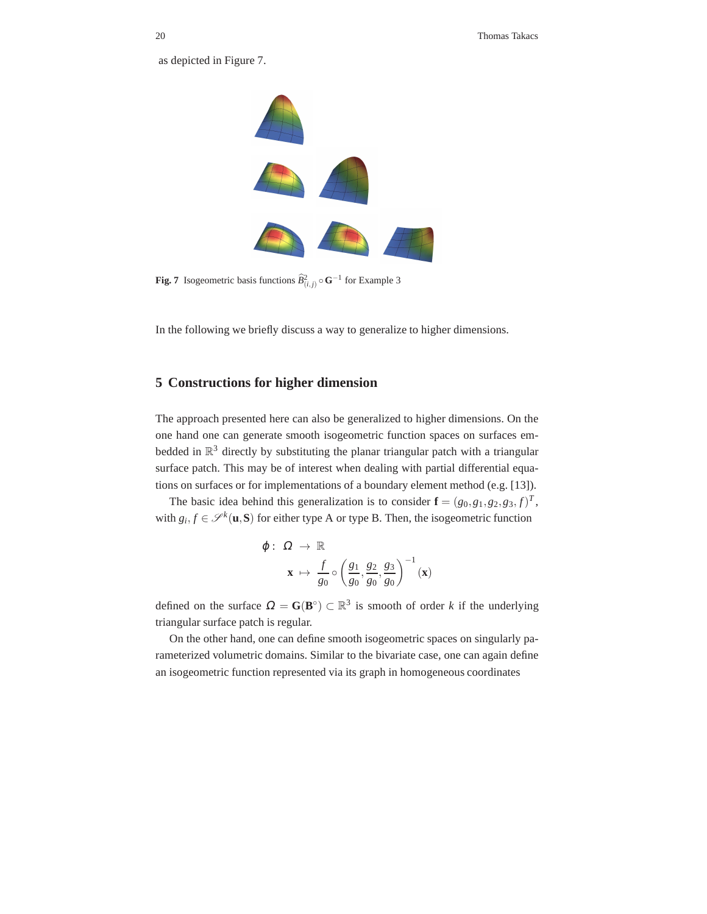as depicted in Figure 7.



**Fig. 7** Isogeometric basis functions  $\widehat{B}^2_{(i,j)} \circ \mathbf{G}^{-1}$  for Example 3

In the following we briefly discuss a way to generalize to higher dimensions.

## **5 Constructions for higher dimension**

The approach presented here can also be generalized to higher dimensions. On the one hand one can generate smooth isogeometric function spaces on surfaces embedded in  $\mathbb{R}^3$  directly by substituting the planar triangular patch with a triangular surface patch. This may be of interest when dealing with partial differential equations on surfaces or for implementations of a boundary element method (e.g. [13]).

The basic idea behind this generalization is to consider  $\mathbf{f} = (g_0, g_1, g_2, g_3, f)^T$ , with  $g_i, f \in \mathcal{S}^k(\mathbf{u}, \mathbf{S})$  for either type A or type B. Then, the isogeometric function

$$
\varphi: \ \Omega \to \mathbb{R}
$$

$$
\mathbf{x} \mapsto \frac{f}{g_0} \circ \left(\frac{g_1}{g_0}, \frac{g_2}{g_0}, \frac{g_3}{g_0}\right)^{-1}(\mathbf{x})
$$

defined on the surface  $\Omega = \mathbf{G}(\mathbf{B}^{\circ}) \subset \mathbb{R}^3$  is smooth of order *k* if the underlying triangular surface patch is regular.

On the other hand, one can define smooth isogeometric spaces on singularly parameterized volumetric domains. Similar to the bivariate case, one can again define an isogeometric function represented via its graph in homogeneous coordinates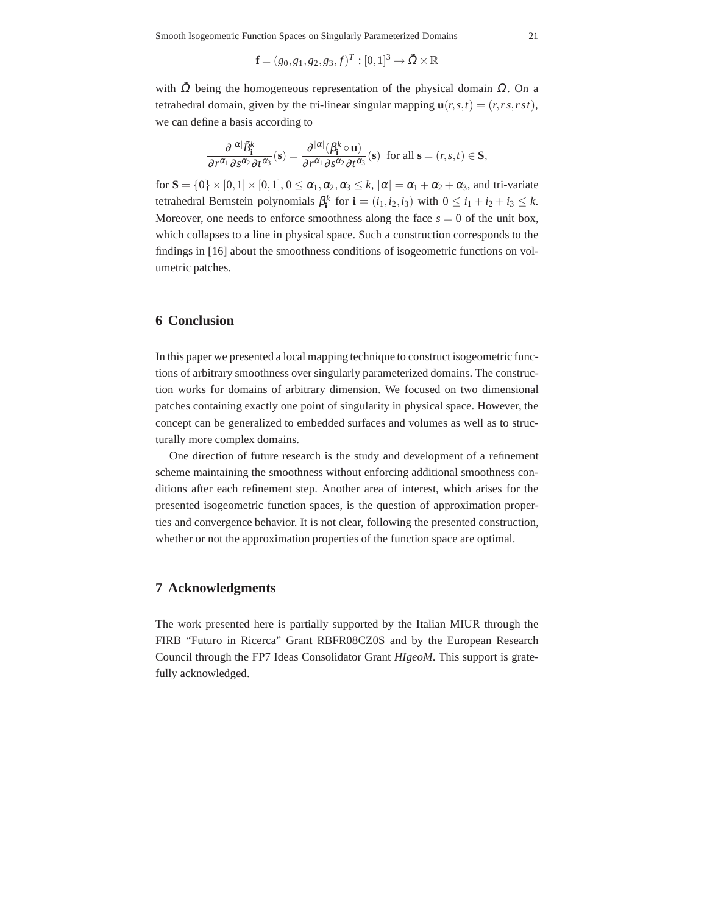$$
\mathbf{f} = (g_0, g_1, g_2, g_3, f)^T : [0, 1]^3 \to \tilde{\Omega} \times \mathbb{R}
$$

with  $\tilde{\Omega}$  being the homogeneous representation of the physical domain  $\Omega$ . On a tetrahedral domain, given by the tri-linear singular mapping  $\mathbf{u}(r,s,t) = (r,rs,rst)$ , we can define a basis according to

$$
\frac{\partial^{|\alpha|}\tilde{\mathcal{B}}_i^k}{\partial r^{\alpha_1}\partial s^{\alpha_2}\partial t^{\alpha_3}}(\mathbf{s}) = \frac{\partial^{|\alpha|}(\beta_i^k \circ \mathbf{u})}{\partial r^{\alpha_1}\partial s^{\alpha_2}\partial t^{\alpha_3}}(\mathbf{s}) \text{ for all } \mathbf{s} = (r, s, t) \in \mathbf{S},
$$

for  $S = \{0\} \times [0,1] \times [0,1], 0 \leq \alpha_1, \alpha_2, \alpha_3 \leq k, |\alpha| = \alpha_1 + \alpha_2 + \alpha_3$ , and tri-variate tetrahedral Bernstein polynomials  $\beta_i^k$  for  $\mathbf{i} = (i_1, i_2, i_3)$  with  $0 \le i_1 + i_2 + i_3 \le k$ . Moreover, one needs to enforce smoothness along the face  $s = 0$  of the unit box, which collapses to a line in physical space. Such a construction corresponds to the findings in [16] about the smoothness conditions of isogeometric functions on volumetric patches.

## **6 Conclusion**

In this paper we presented a local mapping technique to construct isogeometric functions of arbitrary smoothness over singularly parameterized domains. The construction works for domains of arbitrary dimension. We focused on two dimensional patches containing exactly one point of singularity in physical space. However, the concept can be generalized to embedded surfaces and volumes as well as to structurally more complex domains.

One direction of future research is the study and development of a refinement scheme maintaining the smoothness without enforcing additional smoothness conditions after each refinement step. Another area of interest, which arises for the presented isogeometric function spaces, is the question of approximation properties and convergence behavior. It is not clear, following the presented construction, whether or not the approximation properties of the function space are optimal.

## **7 Acknowledgments**

The work presented here is partially supported by the Italian MIUR through the FIRB "Futuro in Ricerca" Grant RBFR08CZ0S and by the European Research Council through the FP7 Ideas Consolidator Grant *HIgeoM*. This support is gratefully acknowledged.